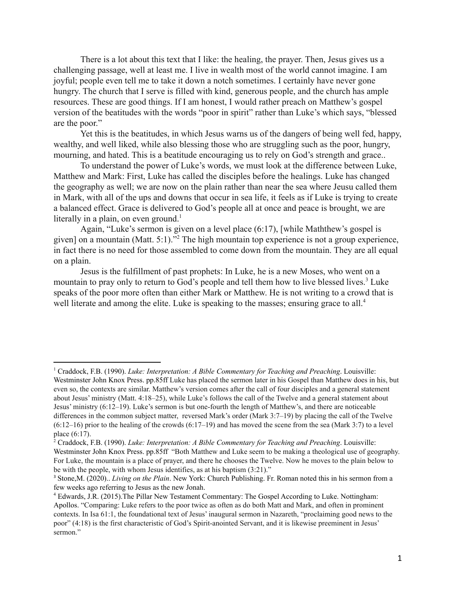There is a lot about this text that I like: the healing, the prayer. Then, Jesus gives us a challenging passage, well at least me. I live in wealth most of the world cannot imagine. I am joyful; people even tell me to take it down a notch sometimes. I certainly have never gone hungry. The church that I serve is filled with kind, generous people, and the church has ample resources. These are good things. If I am honest, I would rather preach on Matthew's gospel version of the beatitudes with the words "poor in spirit" rather than Luke's which says, "blessed are the poor."

Yet this is the beatitudes, in which Jesus warns us of the dangers of being well fed, happy, wealthy, and well liked, while also blessing those who are struggling such as the poor, hungry, mourning, and hated. This is a beatitude encouraging us to rely on God's strength and grace..

To understand the power of Luke's words, we must look at the difference between Luke, Matthew and Mark: First, Luke has called the disciples before the healings. Luke has changed the geography as well; we are now on the plain rather than near the sea where Jeusu called them in Mark, with all of the ups and downs that occur in sea life, it feels as if Luke is trying to create a balanced effect. Grace is delivered to God's people all at once and peace is brought, we are literally in a plain, on even ground.<sup>1</sup>

Again, "Luke's sermon is given on a level place (6:17), [while Maththew's gospel is given] on a mountain (Matt.  $5:1$ ).<sup>32</sup> The high mountain top experience is not a group experience, in fact there is no need for those assembled to come down from the mountain. They are all equal on a plain.

Jesus is the fulfillment of past prophets: In Luke, he is a new Moses, who went on a mountain to pray only to return to God's people and tell them how to live blessed lives.<sup>3</sup> Luke speaks of the poor more often than either Mark or Matthew. He is not writing to a crowd that is well literate and among the elite. Luke is speaking to the masses; ensuring grace to all.<sup>4</sup>

<sup>1</sup> Craddock, F.B. (1990). *Luke: Interpretation: A Bible Commentary for Teaching and Preaching*. Louisville: Westminster John Knox Press. pp.85ff Luke has placed the sermon later in his Gospel than Matthew does in his, but even so, the contexts are similar. Matthew's version comes after the call of four disciples and a general statement about Jesus' ministry (Matt. 4:18–25), while Luke's follows the call of the Twelve and a general statement about Jesus' ministry (6:12–19). Luke's sermon is but one-fourth the length of Matthew's, and there are noticeable differences in the common subject matter, reversed Mark's order (Mark 3:7–19) by placing the call of the Twelve  $(6:12–16)$  prior to the healing of the crowds  $(6:17–19)$  and has moved the scene from the sea (Mark 3:7) to a level place (6:17).

<sup>2</sup> Craddock, F.B. (1990). *Luke: Interpretation: A Bible Commentary for Teaching and Preaching*. Louisville: Westminster John Knox Press. pp.85ff "Both Matthew and Luke seem to be making a theological use of geography. For Luke, the mountain is a place of prayer, and there he chooses the Twelve. Now he moves to the plain below to be with the people, with whom Jesus identifies, as at his baptism (3:21)."

<sup>3</sup> Stone,M. (2020).. *Living on the Plain*. New York: Church Publishing. Fr. Roman noted this in his sermon from a few weeks ago referring to Jesus as the new Jonah.

<sup>4</sup> Edwards, J.R. (2015).The Pillar New Testament Commentary: The Gospel According to Luke. Nottingham: Apollos. "Comparing: Luke refers to the poor twice as often as do both Matt and Mark, and often in prominent contexts. In Isa 61:1, the foundational text of Jesus' inaugural sermon in Nazareth, "proclaiming good news to the poor" (4:18) is the first characteristic of God's Spirit-anointed Servant, and it is likewise preeminent in Jesus' sermon."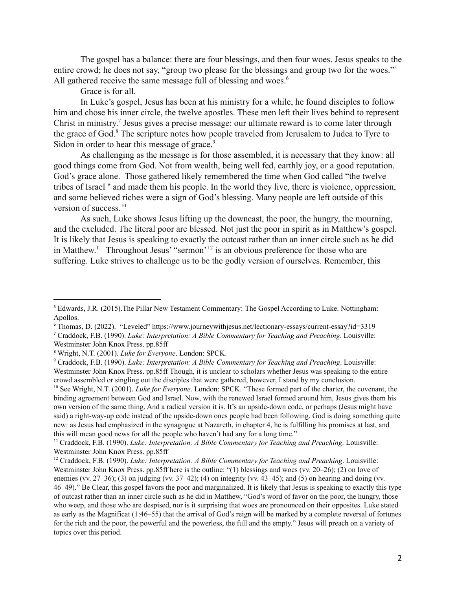The gospel has a balance: there are four blessings, and then four woes. Jesus speaks to the entire crowd; he does not say, "group two please for the blessings and group two for the woes."<sup>5</sup> All gathered receive the same message full of blessing and woes.<sup>6</sup>

Grace is for all.

In Luke's gospel, Jesus has been at his ministry for a while, he found disciples to follow him and chose his inner circle, the twelve apostles. These men left their lives behind to represent Christ in ministry.<sup>7</sup> Jesus gives a precise message: our ultimate reward is to come later through the grace of God. $<sup>8</sup>$  The scripture notes how people traveled from Jerusalem to Judea to Tyre to</sup> Sidon in order to hear this message of grace.<sup>9</sup>

As challenging as the message is for those assembled, it is necessary that they know: all good things come from God. Not from wealth, being well fed, earthly joy, or a good reputation. God's grace alone. Those gathered likely remembered the time when God called "the twelve tribes of Israel '' and made them his people. In the world they live, there is violence, oppression, and some believed riches were a sign of God's blessing. Many people are left outside of this version of success.<sup>10</sup>

As such, Luke shows Jesus lifting up the downcast, the poor, the hungry, the mourning, and the excluded. The literal poor are blessed. Not just the poor in spirit as in Matthew's gospel. It is likely that Jesus is speaking to exactly the outcast rather than an inner circle such as he did in Matthew.<sup>11</sup> Throughout Jesus' "sermon<sup>' 12</sup> is an obvious preference for those who are suffering. Luke strives to challenge us to be the godly version of ourselves. Remember, this

<sup>5</sup> Edwards, J.R. (2015).The Pillar New Testament Commentary: The Gospel According to Luke. Nottingham: Apollos.

<sup>6</sup> Thomas, D. (2022). "Leveled" https://www.journeywithjesus.net/lectionary-essays/current-essay?id=3319

<sup>7</sup> Craddock, F.B. (1990). *Luke: Interpretation: A Bible Commentary for Teaching and Preaching*. Louisville: Westminster John Knox Press. pp.85ff

<sup>8</sup> Wright, N.T. (2001). *Luke for Everyone*. London: SPCK.

<sup>9</sup> Craddock, F.B. (1990). *Luke: Interpretation: A Bible Commentary for Teaching and Preaching*. Louisville: Westminster John Knox Press. pp.85ff Though, it is unclear to scholars whether Jesus was speaking to the entire crowd assembled or singling out the disciples that were gathered, however, I stand by my conclusion.

<sup>10</sup> See Wright, N.T. (2001). *Luke for Everyone*. London: SPCK. "These formed part of the charter, the covenant, the binding agreement between God and Israel. Now, with the renewed Israel formed around him, Jesus gives them his own version of the same thing. And a radical version it is. It's an upside-down code, or perhaps (Jesus might have said) a right-way-up code instead of the upside-down ones people had been following. God is doing something quite new: as Jesus had emphasized in the synagogue at Nazareth, in chapter 4, he is fulfilling his promises at last, and this will mean good news for all the people who haven't had any for a long time."

<sup>11</sup> Craddock, F.B. (1990). *Luke: Interpretation: A Bible Commentary for Teaching and Preaching*. Louisville: Westminster John Knox Press. pp.85ff

<sup>12</sup> Craddock, F.B. (1990). *Luke: Interpretation: A Bible Commentary for Teaching and Preaching*. Louisville: Westminster John Knox Press. pp.85ff here is the outline: "(1) blessings and woes (vv. 20–26); (2) on love of enemies (vv. 27–36); (3) on judging (vv. 37–42); (4) on integrity (vv. 43–45); and (5) on hearing and doing (vv. 46–49)." Be Clear, this gospel favors the poor and marginalized. It is likely that Jesus is speaking to exactly this type of outcast rather than an inner circle such as he did in Matthew, "God's word of favor on the poor, the hungry, those who weep, and those who are despised, nor is it surprising that woes are pronounced on their opposites. Luke stated as early as the Magnificat (1:46–55) that the arrival of God's reign will be marked by a complete reversal of fortunes for the rich and the poor, the powerful and the powerless, the full and the empty." Jesus will preach on a variety of topics over this period.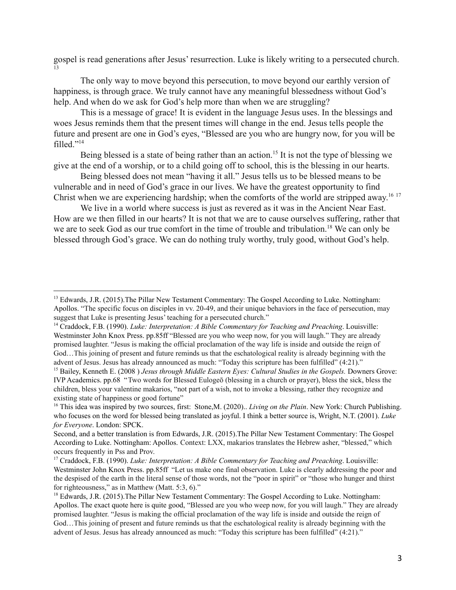gospel is read generations after Jesus' resurrection. Luke is likely writing to a persecuted church. 13

The only way to move beyond this persecution, to move beyond our earthly version of happiness, is through grace. We truly cannot have any meaningful blessedness without God's help. And when do we ask for God's help more than when we are struggling?

This is a message of grace! It is evident in the language Jesus uses. In the blessings and woes Jesus reminds them that the present times will change in the end. Jesus tells people the future and present are one in God's eyes, "Blessed are you who are hungry now, for you will be filled."<sup>14</sup>

Being blessed is a state of being rather than an action.<sup>15</sup> It is not the type of blessing we give at the end of a worship, or to a child going off to school, this is the blessing in our hearts.

Being blessed does not mean "having it all." Jesus tells us to be blessed means to be vulnerable and in need of God's grace in our lives. We have the greatest opportunity to find Christ when we are experiencing hardship; when the comforts of the world are stripped away.<sup>16-17</sup>

We live in a world where success is just as revered as it was in the Ancient Near East. How are we then filled in our hearts? It is not that we are to cause ourselves suffering, rather that we are to seek God as our true comfort in the time of trouble and tribulation.<sup>18</sup> We can only be blessed through God's grace. We can do nothing truly worthy, truly good, without God's help.

<sup>&</sup>lt;sup>13</sup> Edwards, J.R. (2015). The Pillar New Testament Commentary: The Gospel According to Luke. Nottingham: Apollos. "The specific focus on disciples in vv. 20-49, and their unique behaviors in the face of persecution, may suggest that Luke is presenting Jesus' teaching for a persecuted church."

<sup>14</sup> Craddock, F.B. (1990). *Luke: Interpretation: A Bible Commentary for Teaching and Preaching*. Louisville: Westminster John Knox Press. pp.85ff "Blessed are you who weep now, for you will laugh." They are already promised laughter. "Jesus is making the official proclamation of the way life is inside and outside the reign of God…This joining of present and future reminds us that the eschatological reality is already beginning with the advent of Jesus. Jesus has already announced as much: "Today this scripture has been fulfilled" (4:21)."

<sup>15</sup> Bailey, Kenneth E. (2008 ) *Jesus through Middle Eastern Eyes: Cultural Studies in the Gospels.* Downers Grove: IVP Academics. pp.68 "Two words for Blessed Eulogeō (blessing in a church or prayer), bless the sick, bless the children, bless your valentine makarios, "not part of a wish, not to invoke a blessing, rather they recognize and existing state of happiness or good fortune"

<sup>16</sup> This idea was inspired by two sources, first: Stone,M. (2020).. *Living on the Plain*. New York: Church Publishing. who focuses on the word for blessed being translated as joyful. I think a better source is, Wright, N.T. (2001). *Luke for Everyone*. London: SPCK.

Second, and a better translation is from Edwards, J.R. (2015).The Pillar New Testament Commentary: The Gospel According to Luke. Nottingham: Apollos. Context: LXX, makarios translates the Hebrew asher, "blessed," which occurs frequently in Pss and Prov.

<sup>17</sup> Craddock, F.B. (1990). *Luke: Interpretation: A Bible Commentary for Teaching and Preaching*. Louisville: Westminster John Knox Press. pp.85ff "Let us make one final observation. Luke is clearly addressing the poor and the despised of the earth in the literal sense of those words, not the "poor in spirit" or "those who hunger and thirst for righteousness," as in Matthew (Matt. 5:3, 6)."

<sup>&</sup>lt;sup>18</sup> Edwards, J.R. (2015). The Pillar New Testament Commentary: The Gospel According to Luke. Nottingham: Apollos. The exact quote here is quite good, "Blessed are you who weep now, for you will laugh." They are already promised laughter. "Jesus is making the official proclamation of the way life is inside and outside the reign of God…This joining of present and future reminds us that the eschatological reality is already beginning with the advent of Jesus. Jesus has already announced as much: "Today this scripture has been fulfilled" (4:21)."